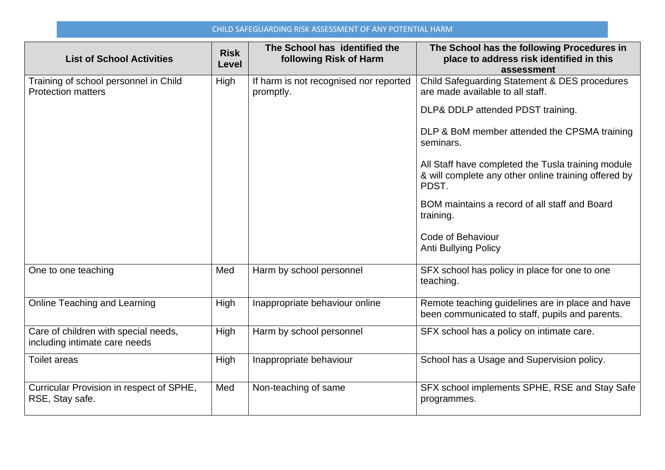## CHILD SAFEGUARDING RISK ASSESSMENT OF ANY POTENTIAL HARM

| <b>List of School Activities</b>                                      | <b>Risk</b><br>Level | The School has identified the<br>following Risk of Harm | The School has the following Procedures in<br>place to address risk identified in this<br>assessment                |
|-----------------------------------------------------------------------|----------------------|---------------------------------------------------------|---------------------------------------------------------------------------------------------------------------------|
| Training of school personnel in Child<br><b>Protection matters</b>    | High                 | If harm is not recognised nor reported<br>promptly.     | Child Safeguarding Statement & DES procedures<br>are made available to all staff.                                   |
|                                                                       |                      |                                                         | DLP& DDLP attended PDST training.                                                                                   |
|                                                                       |                      |                                                         | DLP & BoM member attended the CPSMA training<br>seminars.                                                           |
|                                                                       |                      |                                                         | All Staff have completed the Tusla training module<br>& will complete any other online training offered by<br>PDST. |
|                                                                       |                      |                                                         | BOM maintains a record of all staff and Board<br>training.                                                          |
|                                                                       |                      |                                                         | Code of Behaviour<br>Anti Bullying Policy                                                                           |
| One to one teaching                                                   | Med                  | Harm by school personnel                                | SFX school has policy in place for one to one<br>teaching.                                                          |
| Online Teaching and Learning                                          | High                 | Inappropriate behaviour online                          | Remote teaching guidelines are in place and have<br>been communicated to staff, pupils and parents.                 |
| Care of children with special needs,<br>including intimate care needs | High                 | Harm by school personnel                                | SFX school has a policy on intimate care.                                                                           |
| <b>Toilet areas</b>                                                   | High                 | Inappropriate behaviour                                 | School has a Usage and Supervision policy.                                                                          |
| Curricular Provision in respect of SPHE,<br>RSE, Stay safe.           | Med                  | Non-teaching of same                                    | SFX school implements SPHE, RSE and Stay Safe<br>programmes.                                                        |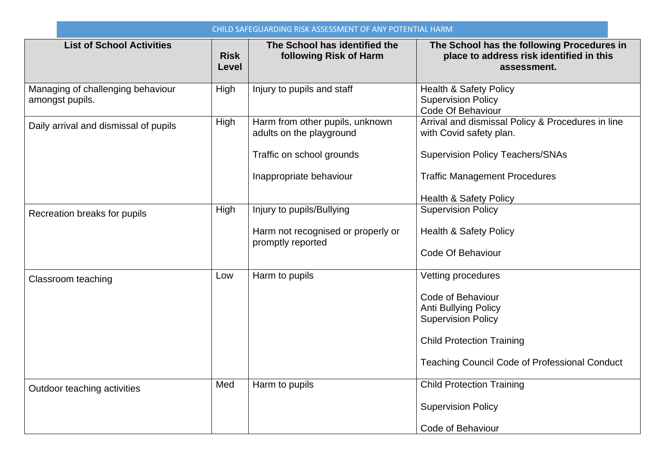| CHILD SAFEGUARDING RISK ASSESSMENT OF ANY POTENTIAL HARM |                      |                                                             |                                                                                                       |  |
|----------------------------------------------------------|----------------------|-------------------------------------------------------------|-------------------------------------------------------------------------------------------------------|--|
| <b>List of School Activities</b>                         | <b>Risk</b><br>Level | The School has identified the<br>following Risk of Harm     | The School has the following Procedures in<br>place to address risk identified in this<br>assessment. |  |
| Managing of challenging behaviour<br>amongst pupils.     | High                 | Injury to pupils and staff                                  | <b>Health &amp; Safety Policy</b><br><b>Supervision Policy</b><br>Code Of Behaviour                   |  |
| Daily arrival and dismissal of pupils                    | High                 | Harm from other pupils, unknown<br>adults on the playground | Arrival and dismissal Policy & Procedures in line<br>with Covid safety plan.                          |  |
|                                                          |                      | Traffic on school grounds                                   | <b>Supervision Policy Teachers/SNAs</b>                                                               |  |
|                                                          |                      | Inappropriate behaviour                                     | <b>Traffic Management Procedures</b>                                                                  |  |
|                                                          |                      |                                                             | <b>Health &amp; Safety Policy</b>                                                                     |  |
| Recreation breaks for pupils                             | High                 | Injury to pupils/Bullying                                   | <b>Supervision Policy</b>                                                                             |  |
|                                                          |                      | Harm not recognised or properly or<br>promptly reported     | <b>Health &amp; Safety Policy</b>                                                                     |  |
|                                                          |                      |                                                             | Code Of Behaviour                                                                                     |  |
| Classroom teaching                                       | Low                  | Harm to pupils                                              | Vetting procedures                                                                                    |  |
|                                                          |                      |                                                             | Code of Behaviour                                                                                     |  |
|                                                          |                      |                                                             | <b>Anti Bullying Policy</b><br><b>Supervision Policy</b>                                              |  |
|                                                          |                      |                                                             | <b>Child Protection Training</b>                                                                      |  |
|                                                          |                      |                                                             | <b>Teaching Council Code of Professional Conduct</b>                                                  |  |
| Outdoor teaching activities                              | Med                  | Harm to pupils                                              | <b>Child Protection Training</b>                                                                      |  |
|                                                          |                      |                                                             | <b>Supervision Policy</b>                                                                             |  |
|                                                          |                      |                                                             | Code of Behaviour                                                                                     |  |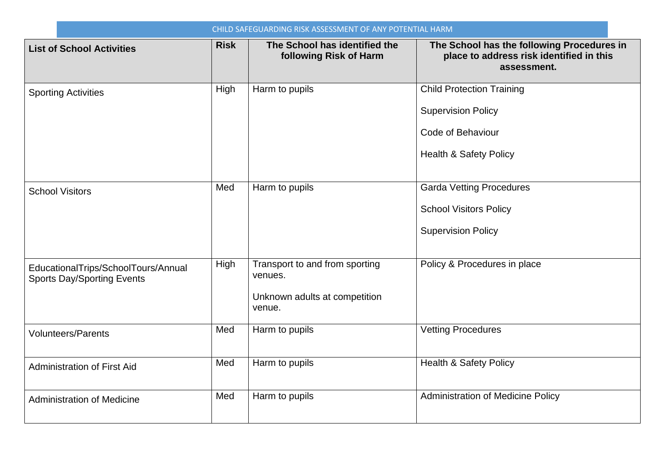| CHILD SAFEGUARDING RISK ASSESSMENT OF ANY POTENTIAL HARM                 |             |                                                                                      |                                                                                                                         |  |
|--------------------------------------------------------------------------|-------------|--------------------------------------------------------------------------------------|-------------------------------------------------------------------------------------------------------------------------|--|
| <b>List of School Activities</b>                                         | <b>Risk</b> | The School has identified the<br>following Risk of Harm                              | The School has the following Procedures in<br>place to address risk identified in this<br>assessment.                   |  |
| <b>Sporting Activities</b>                                               | High        | Harm to pupils                                                                       | <b>Child Protection Training</b><br><b>Supervision Policy</b><br>Code of Behaviour<br><b>Health &amp; Safety Policy</b> |  |
| <b>School Visitors</b>                                                   | Med         | Harm to pupils                                                                       | <b>Garda Vetting Procedures</b><br><b>School Visitors Policy</b><br><b>Supervision Policy</b>                           |  |
| EducationalTrips/SchoolTours/Annual<br><b>Sports Day/Sporting Events</b> | High        | Transport to and from sporting<br>venues.<br>Unknown adults at competition<br>venue. | Policy & Procedures in place                                                                                            |  |
| <b>Volunteers/Parents</b>                                                | Med         | Harm to pupils                                                                       | <b>Vetting Procedures</b>                                                                                               |  |
| <b>Administration of First Aid</b>                                       | Med         | Harm to pupils                                                                       | Health & Safety Policy                                                                                                  |  |
| <b>Administration of Medicine</b>                                        | Med         | Harm to pupils                                                                       | <b>Administration of Medicine Policy</b>                                                                                |  |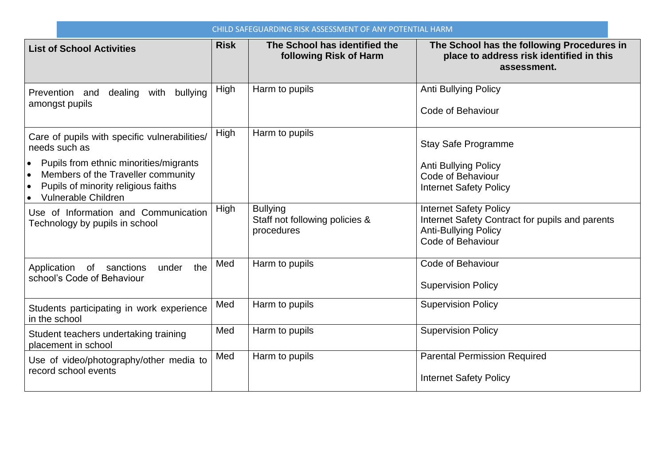| CHILD SAFEGUARDING RISK ASSESSMENT OF ANY POTENTIAL HARM                                                                                                |             |                                                                 |                                                                                                                                      |  |
|---------------------------------------------------------------------------------------------------------------------------------------------------------|-------------|-----------------------------------------------------------------|--------------------------------------------------------------------------------------------------------------------------------------|--|
| <b>List of School Activities</b>                                                                                                                        | <b>Risk</b> | The School has identified the<br>following Risk of Harm         | The School has the following Procedures in<br>place to address risk identified in this<br>assessment.                                |  |
| Prevention and dealing with<br>bullying<br>amongst pupils                                                                                               | High        | Harm to pupils                                                  | <b>Anti Bullying Policy</b><br>Code of Behaviour                                                                                     |  |
| Care of pupils with specific vulnerabilities/<br>needs such as                                                                                          | High        | Harm to pupils                                                  | <b>Stay Safe Programme</b>                                                                                                           |  |
| Pupils from ethnic minorities/migrants<br>Members of the Traveller community<br>Pupils of minority religious faiths<br>$\bullet$<br>Vulnerable Children |             |                                                                 | <b>Anti Bullying Policy</b><br>Code of Behaviour<br><b>Internet Safety Policy</b>                                                    |  |
| Use of Information and Communication<br>Technology by pupils in school                                                                                  | High        | <b>Bullying</b><br>Staff not following policies &<br>procedures | <b>Internet Safety Policy</b><br>Internet Safety Contract for pupils and parents<br><b>Anti-Bullying Policy</b><br>Code of Behaviour |  |
| the<br>Application of sanctions<br>under<br>school's Code of Behaviour                                                                                  | Med         | Harm to pupils                                                  | Code of Behaviour<br><b>Supervision Policy</b>                                                                                       |  |
| Students participating in work experience<br>in the school                                                                                              | Med         | Harm to pupils                                                  | <b>Supervision Policy</b>                                                                                                            |  |
| Student teachers undertaking training<br>placement in school                                                                                            | Med         | Harm to pupils                                                  | <b>Supervision Policy</b>                                                                                                            |  |
| Use of video/photography/other media to<br>record school events                                                                                         | Med         | Harm to pupils                                                  | <b>Parental Permission Required</b><br><b>Internet Safety Policy</b>                                                                 |  |